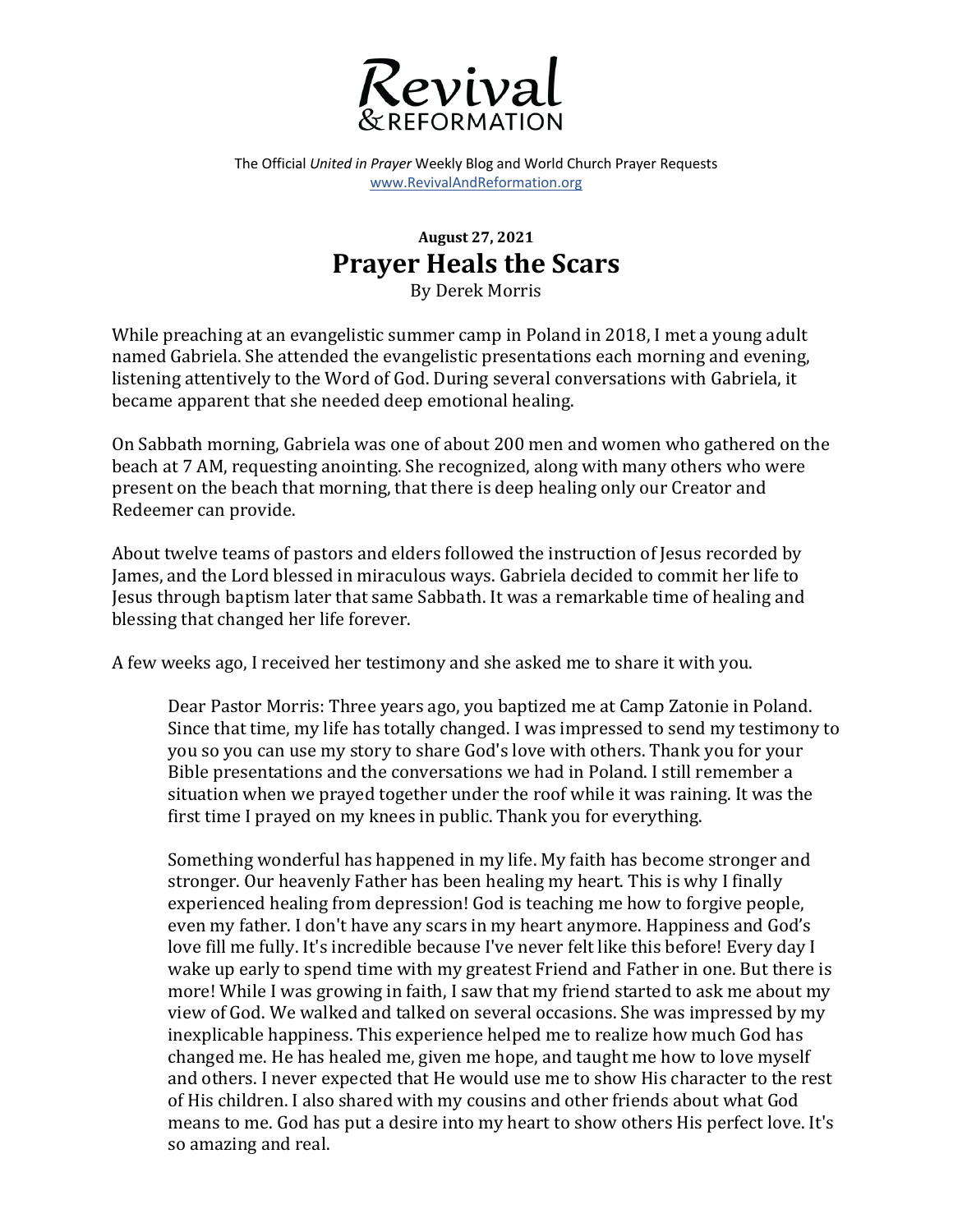

The Official *United in Prayer* Weekly Blog and World Church Prayer Requests www.RevivalAndReformation.org

## **August 27, 2021 Prayer Heals the Scars**

By Derek Morris

While preaching at an evangelistic summer camp in Poland in 2018, I met a young adult named Gabriela. She attended the evangelistic presentations each morning and evening, listening attentively to the Word of God. During several conversations with Gabriela, it became apparent that she needed deep emotional healing.

On Sabbath morning, Gabriela was one of about 200 men and women who gathered on the beach at 7 AM, requesting anointing. She recognized, along with many others who were present on the beach that morning, that there is deep healing only our Creator and Redeemer can provide.

About twelve teams of pastors and elders followed the instruction of Jesus recorded by James, and the Lord blessed in miraculous ways. Gabriela decided to commit her life to Jesus through baptism later that same Sabbath. It was a remarkable time of healing and blessing that changed her life forever.

A few weeks ago, I received her testimony and she asked me to share it with you.

Dear Pastor Morris: Three years ago, you baptized me at Camp Zatonie in Poland. Since that time, my life has totally changed. I was impressed to send my testimony to you so you can use my story to share God's love with others. Thank you for your Bible presentations and the conversations we had in Poland. I still remember a situation when we prayed together under the roof while it was raining. It was the first time I prayed on my knees in public. Thank you for everything.

Something wonderful has happened in my life. My faith has become stronger and stronger. Our heavenly Father has been healing my heart. This is why I finally experienced healing from depression! God is teaching me how to forgive people, even my father. I don't have any scars in my heart anymore. Happiness and God's love fill me fully. It's incredible because I've never felt like this before! Every day I wake up early to spend time with my greatest Friend and Father in one. But there is more! While I was growing in faith, I saw that my friend started to ask me about my view of God. We walked and talked on several occasions. She was impressed by my inexplicable happiness. This experience helped me to realize how much God has changed me. He has healed me, given me hope, and taught me how to love myself and others. I never expected that He would use me to show His character to the rest of His children. I also shared with my cousins and other friends about what God means to me. God has put a desire into my heart to show others His perfect love. It's so amazing and real.